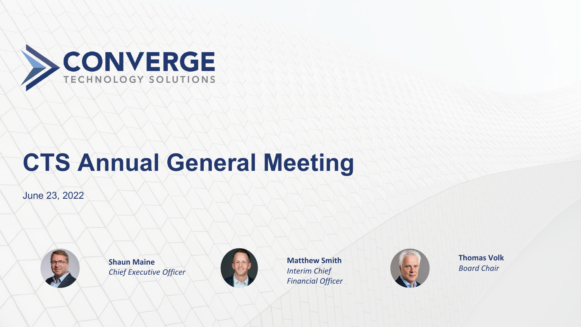

# **CTS Annual General Meeting**

June 23, 2022



**Shaun Maine** *Chief Executive Officer*



**Matthew Smith**  *Interim Chief Financial Officer*



**Thomas Volk**  *Board Chair*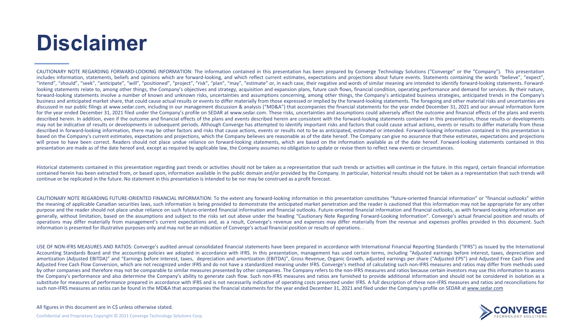# **Disclaimer**

CAUTIONARY NOTE REGARDING FORWARD-LOOKING INFORMATION: The information contained in this presentation has been prepared by Converge Technology Solutions ("Converge" or the "Company"). This presentation includes information, statements, beliefs and opinions which are forward-looking, and which reflect current estimates, expectations and projections about future events. Statements containing the words "believe", "expect", "intend", "should", "seek", "anticipate", "will", "positioned", "project", "risk", "plan", "may", "estimate" or, in each case, their negative and words of similar meaning are intended to identify forward-looking statements looking statements relate to, among other things, the Company's objectives and strategy, acquisition and expansion plans, future cash flows, financial condition, operating performance and demand for services. By their natu forward-looking statements involve a number of known and unknown risks, uncertainties and assumptions concerning, among other things, the Company's anticipated business strategies, anticipated trends in the Company's business and anticipated market share, that could cause actual results or events to differ materially from those expressed or implied by the forward-looking statements. The foregoing and other material risks and uncertaint discussed in our public filings at www.sedar.com, including in our management discussion & analysis ("MD&A") that accompanies the financial statements for the year ended December 31, 2021 and our annual information form for the year ended December 31, 2021 filed under the Company's profile on SEDAR at www.sedar.com. These risks, uncertainties and assumptions could adversely affect the outcome and financial effects of the plans and events described herein. In addition, even if the outcome and financial effects of the plans and events described herein are consistent with the forward-looking statements contained in this presentation, those results or developm may not be indicative of results or developments in subsequent periods. Although Converge has attempted to identify important risks and factors that could cause actual actions, events or results to differ materially from t described in forward-looking information, there may be other factors and risks that cause actions, events or results not to be as anticipated, estimated or intended. Forward-looking information contained in this presentati based on the Company's current estimates, expectations and projections, which the Company believes are reasonable as of the date hereof. The Company can give no assurance that these estimates, expectations and projections will prove to have been correct. Readers should not place undue reliance on forward-looking statements, which are based on the information available as of the date hereof. Forward-looking statements contained in this presentation are made as of the date hereof and, except as required by applicable law, the Company assumes no obligation to update or revise them to reflect new events or circumstances.

Historical statements contained in this presentation regarding past trends or activities should not be taken as a representation that such trends or activities will continue in the future. In this regard, certain financial contained herein has been extracted from, or based upon, information available in the public domain and/or provided by the Company. In particular, historical results should not be taken as a representation that such trends continue or be replicated in the future. No statement in this presentation is intended to be nor may be construed as a profit forecast.

CAUTIONARY NOTE REGARDING FUTURE-ORIENTED FINANCIAL INFORMATION: To the extent any forward-looking information in this presentation constitutes "future-oriented financial information" or "financial outlooks" within the meaning of applicable Canadian securities laws, such information is being provided to demonstrate the anticipated market penetration and the reader is cautioned that this information may not be appropriate for any other purpose and the reader should not place undue reliance on such future-oriented financial information and financial outlooks. Future-oriented financial information and financial information and financial outlooks, as with f generally, without limitation, based on the assumptions and subject to the risks set out above under the heading "Cautionary Note Regarding Forward-Looking Information". Converge's actual financial position and results of operations may differ materially from management's current expectations and, as a result, Converge's revenue and expenses may differ materially from the revenue and expenses profiles provided in this document. Such information is presented for illustrative purposes only and may not be an indication of Converge's actual financial position or results of operations. .

USE OF NON-IFRS MEASURES AND RATIOS: Converge's audited annual consolidated financial statements have been prepared in accordance with International Financial Reporting Standards ("IFRS") as issued by the International Accounting Standards Board and the accounting policies we adopted in accordance with IFRS. In this presentation, management has used certain terms, including "Adjusted earnings before interest, taxes, depreciation and amortization (Adjusted EBITDA)" and "Earnings before interest, taxes, depreciation and amortization (EBITDA)", Gross Revenue, Organic Growth, adjusted earnings per share ("Adjusted EPS") and Adjusted Free Cash Flow and Adjusted Free Cash Flow Conversion, which are not recognized under IFRS and do not have a standardized meaning under IFRS. Converge's method of calculating such non-IFRS measures and ratios may differ from methods used by other companies and therefore may not be comparable to similar measures presented by other companies. The Company refers to the non-IFRS measures and ratios because certain investors may use this information to assess the Company's performance and also determine the Company's ability to generate cash flow. Such non-IFRS measures and ratios are furnished to provide additional information and should not be considered in isolation as a substitute for measures of performance prepared in accordance with IFRS and is not necessarily indicative of operating costs presented under IFRS. A full description of these non-IFRS measures and ratios and reconciliation such non-IFRS measures an ratios can be found in the MD&A that accompanies the financial statements for the year ended December 31, 2021 and filed under the Company's profile on SEDAR at [www.sedar.com](http://www.sedar.com/)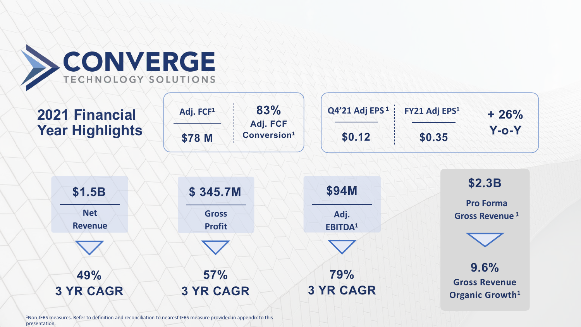

| 2021 Financial<br><b>Year Highlights</b> | 83%<br>Adj. FCF <sup>1</sup><br>Adj. FCF<br>Conversion <sup>1</sup><br>\$78 M | Q4'21 Adj EPS <sup>1</sup><br>\$0.12 | FY21 Adj EPS <sup>1</sup><br>$+26%$<br>$Y$ -0- $Y$<br>\$0.35 |
|------------------------------------------|-------------------------------------------------------------------------------|--------------------------------------|--------------------------------------------------------------|
| \$1.5B                                   | \$345.7M                                                                      | <b>\$94M</b>                         | \$2.3B                                                       |
| <b>Net</b><br><b>Revenue</b>             | <b>Gross</b><br><b>Profit</b>                                                 | Adj.<br>EBITDA <sup>1</sup>          | <b>Pro Forma</b><br>Gross Revenue <sup>1</sup>               |
|                                          |                                                                               |                                      |                                                              |
| 49%<br><b>3 YR CAGR</b>                  | 57%<br><b>3 YR CAGR</b>                                                       | 79%<br><b>3 YR CAGR</b>              | 9.6%<br><b>Gross Revenue</b><br>Organic Growth <sup>1</sup>  |

1Non-IFRS measures. Refer to definition and reconciliation to nearest IFRS measure provided in appendix to this presentation.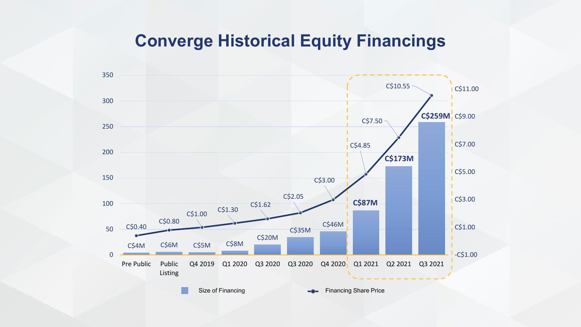### **Converge Historical Equity Financings**

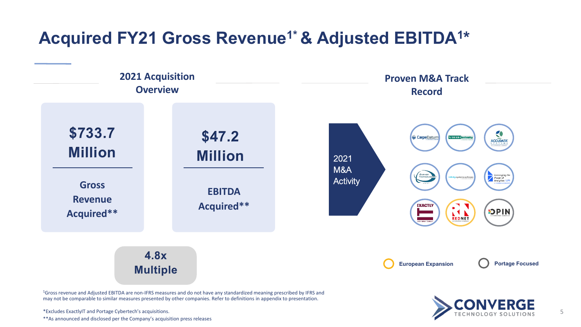### Acquired FY21 Gross Revenue<sup>1\*</sup> & Adjusted EBITDA<sup>1\*</sup>



may not be comparable to similar measures presented by other companies. Refer to definitions in appendix to presentation.

\*Excludes ExactlyIT and Portage Cybertech's acquisitions. \*\*As announced and disclosed per the Company's acquisition press releases 5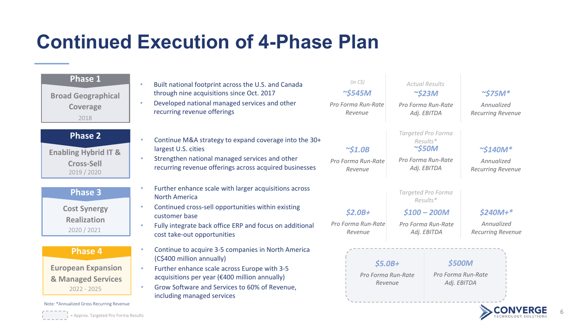# **Continued Execution of 4-Phase Plan**

| <b>Phase 1</b><br><b>Broad Geographical</b><br><b>Coverage</b><br>2018                          | Built national footprint across the U.S. and Canada<br>through nine acquisitions since Oct. 2017<br>Developed national managed services and other<br>recurring revenue offerings                                                                                | (in CS)<br>$\sim$ \$545M<br>Pro Forma Run-Rate<br>Revenue | <b>Actual Results</b><br>$\sim$ \$23M<br>Pro Forma Run-Rate<br>Adj. EBITDA          | $\sim$ \$75M*<br>Annualized<br><b>Recurring Revenue</b>  |
|-------------------------------------------------------------------------------------------------|-----------------------------------------------------------------------------------------------------------------------------------------------------------------------------------------------------------------------------------------------------------------|-----------------------------------------------------------|-------------------------------------------------------------------------------------|----------------------------------------------------------|
| <b>Phase 2</b><br><b>Enabling Hybrid IT &amp;</b><br><b>Cross-Sell</b><br>2019 / 2020           | Continue M&A strategy to expand coverage into the 30+<br>$\bullet$<br>largest U.S. cities<br>Strengthen national managed services and other<br>recurring revenue offerings across acquired businesses                                                           | $\sim$ \$1.0B<br>Pro Forma Run-Rate<br>Revenue            | Targeted Pro Forma<br>Results*<br>$\sim$ \$50M<br>Pro Forma Run-Rate<br>Adj. EBITDA | $\sim$ \$140M*<br>Annualized<br><b>Recurring Revenue</b> |
| <b>Phase 3</b><br><b>Cost Synergy</b>                                                           | Further enhance scale with larger acquisitions across<br><b>North America</b><br>Continued cross-sell opportunities within existing<br>$\bullet$<br>customer base                                                                                               | $$2.0B+$                                                  | Targeted Pro Forma<br>Results*<br>$$100 - 200M$$                                    | $$240M+*$                                                |
| <b>Realization</b><br>2020 / 2021                                                               | Fully integrate back office ERP and focus on additional<br>٠<br>cost take-out opportunities                                                                                                                                                                     | Pro Forma Run-Rate<br>Revenue                             | Pro Forma Run-Rate<br>Adj. EBITDA                                                   | Annualized<br><b>Recurring Revenue</b>                   |
| <b>Phase 4</b><br><b>European Expansion</b><br>& Managed Services<br>$2022 - 2025$              | Continue to acquire 3-5 companies in North America<br>(C\$400 million annually)<br>Further enhance scale across Europe with 3-5<br>acquisitions per year (€400 million annually)<br>Grow Software and Services to 60% of Revenue,<br>including managed services | $$5.0B+$<br>Pro Forma Run-Rate<br>Revenue                 |                                                                                     | \$500M<br>Pro Forma Run-Rate<br>Adj. EBITDA              |
| Note: *Annualized Gross Recurring Revenue<br>$\frac{1}{1}$ = Approx. Targeted Pro Forma Results |                                                                                                                                                                                                                                                                 |                                                           |                                                                                     |                                                          |

and the control of the control of the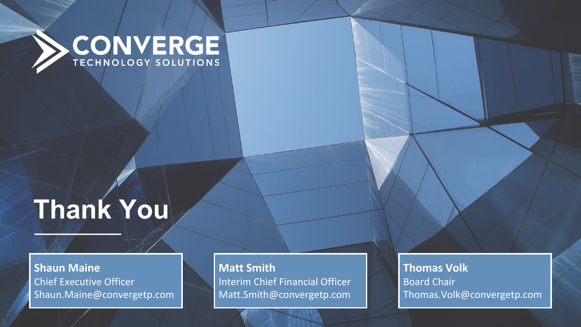

# **Thank You**

**Shaun Maine** Chief Executive Officer Shaun.Maine@convergetp.com **Matt Smith** Interim Chief Financial Officer Matt.Smith@convergetp.com

**Thomas Volk** Board Chair Thomas.Volk@convergetp.com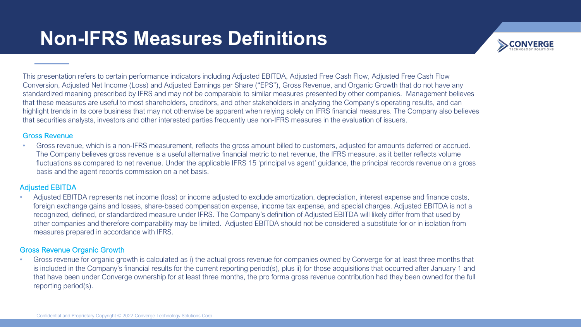## **Non-IFRS Measures Definitions**



This presentation refers to certain performance indicators including Adjusted EBITDA, Adjusted Free Cash Flow, Adjusted Free Cash Flow Conversion, Adjusted Net Income (Loss) and Adjusted Earnings per Share ("EPS"), Gross Revenue, and Organic Growth that do not have any standardized meaning prescribed by IFRS and may not be comparable to similar measures presented by other companies. Management believes that these measures are useful to most shareholders, creditors, and other stakeholders in analyzing the Company's operating results, and can highlight trends in its core business that may not otherwise be apparent when relying solely on IFRS financial measures. The Company also believes that securities analysts, investors and other interested parties frequently use non-IFRS measures in the evaluation of issuers.

#### Gross Revenue

• Gross revenue, which is a non-IFRS measurement, reflects the gross amount billed to customers, adjusted for amounts deferred or accrued. The Company believes gross revenue is a useful alternative financial metric to net revenue, the IFRS measure, as it better reflects volume fluctuations as compared to net revenue. Under the applicable IFRS 15 'principal vs agent' guidance, the principal records revenue on a gross basis and the agent records commission on a net basis.

#### Adjusted EBITDA

• Adjusted EBITDA represents net income (loss) or income adjusted to exclude amortization, depreciation, interest expense and finance costs, foreign exchange gains and losses, share-based compensation expense, income tax expense, and special charges. Adjusted EBITDA is not a recognized, defined, or standardized measure under IFRS. The Company's definition of Adjusted EBITDA will likely differ from that used by other companies and therefore comparability may be limited. Adjusted EBITDA should not be considered a substitute for or in isolation from measures prepared in accordance with IFRS.

#### Gross Revenue Organic Growth

• Gross revenue for organic growth is calculated as i) the actual gross revenue for companies owned by Converge for at least three months that is included in the Company's financial results for the current reporting period(s), plus ii) for those acquisitions that occurred after January 1 and that have been under Converge ownership for at least three months, the pro forma gross revenue contribution had they been owned for the full reporting period(s).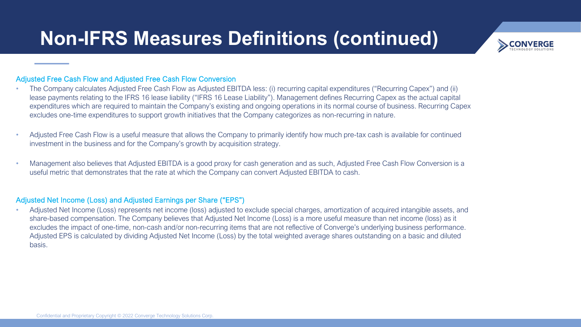

#### Adjusted Free Cash Flow and Adjusted Free Cash Flow Conversion

- The Company calculates Adjusted Free Cash Flow as Adjusted EBITDA less: (i) recurring capital expenditures ("Recurring Capex") and (ii) lease payments relating to the IFRS 16 lease liability ("IFRS 16 Lease Liability"). Management defines Recurring Capex as the actual capital expenditures which are required to maintain the Company's existing and ongoing operations in its normal course of business. Recurring Capex excludes one-time expenditures to support growth initiatives that the Company categorizes as non-recurring in nature.
- Adjusted Free Cash Flow is a useful measure that allows the Company to primarily identify how much pre-tax cash is available for continued investment in the business and for the Company's growth by acquisition strategy.
- Management also believes that Adjusted EBITDA is a good proxy for cash generation and as such, Adjusted Free Cash Flow Conversion is a useful metric that demonstrates that the rate at which the Company can convert Adjusted EBITDA to cash.

#### Adjusted Net Income (Loss) and Adjusted Earnings per Share ("EPS")

• Adjusted Net Income (Loss) represents net income (loss) adjusted to exclude special charges, amortization of acquired intangible assets, and share-based compensation. The Company believes that Adjusted Net Income (Loss) is a more useful measure than net income (loss) as it excludes the impact of one-time, non-cash and/or non-recurring items that are not reflective of Converge's underlying business performance. Adjusted EPS is calculated by dividing Adjusted Net Income (Loss) by the total weighted average shares outstanding on a basic and diluted basis.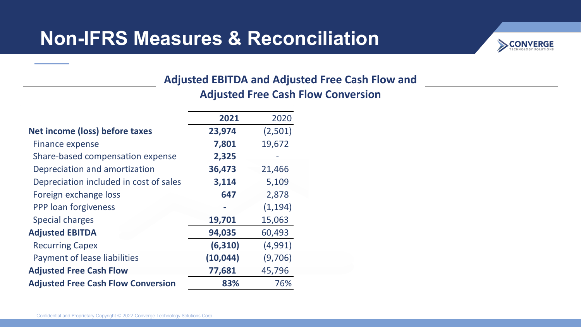### **Non-IFRS Measures & Reconciliation**



### **Adjusted EBITDA and Adjusted Free Cash Flow and Adjusted Free Cash Flow Conversion**

|                                           | 2021      | 2020     |
|-------------------------------------------|-----------|----------|
| Net income (loss) before taxes            | 23,974    | (2,501)  |
| Finance expense                           | 7,801     | 19,672   |
| Share-based compensation expense          | 2,325     |          |
| Depreciation and amortization             | 36,473    | 21,466   |
| Depreciation included in cost of sales    | 3,114     | 5,109    |
| Foreign exchange loss                     | 647       | 2,878    |
| PPP loan forgiveness                      | $\equiv$  | (1, 194) |
| <b>Special charges</b>                    | 19,701    | 15,063   |
| <b>Adjusted EBITDA</b>                    | 94,035    | 60,493   |
| <b>Recurring Capex</b>                    | (6, 310)  | (4,991)  |
| Payment of lease liabilities              | (10, 044) | (9,706)  |
| <b>Adjusted Free Cash Flow</b>            | 77,681    | 45,796   |
| <b>Adjusted Free Cash Flow Conversion</b> | 83%       | 76%      |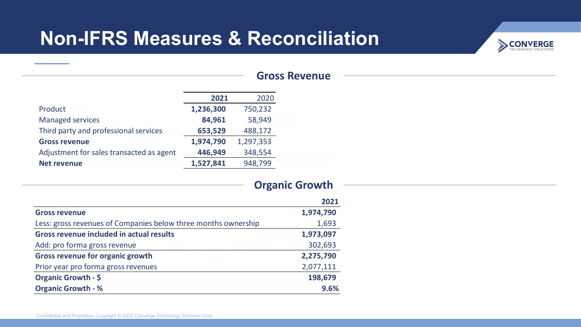## **Non-IFRS Measures & Reconciliation**



|                                          | 2021      | 2020      |
|------------------------------------------|-----------|-----------|
| Product                                  | 1,236,300 | 750,232   |
| <b>Managed services</b>                  | 84,961    | 58,949    |
| Third party and professional services    | 653,529   | 488,172   |
| <b>Gross revenue</b>                     | 1,974,790 | 1,297,353 |
| Adjustment for sales transacted as agent | 446,949   | 348,554   |
| <b>Net revenue</b>                       | 1,527,841 | 948,799   |

### **Organic Growth**

|                                                                | 2021      |
|----------------------------------------------------------------|-----------|
| <b>Gross revenue</b>                                           | 1,974,790 |
| Less: gross revenues of Companies below three months ownership | 1,693     |
| <b>Gross revenue included in actual results</b>                | 1,973,097 |
| Add: pro forma gross revenue                                   | 302,693   |
| <b>Gross revenue for organic growth</b>                        | 2,275,790 |
| Prior year pro forma gross revenues                            | 2,077,111 |
| <b>Organic Growth - \$</b>                                     | 198,679   |
| <b>Organic Growth - %</b>                                      | 9.6%      |